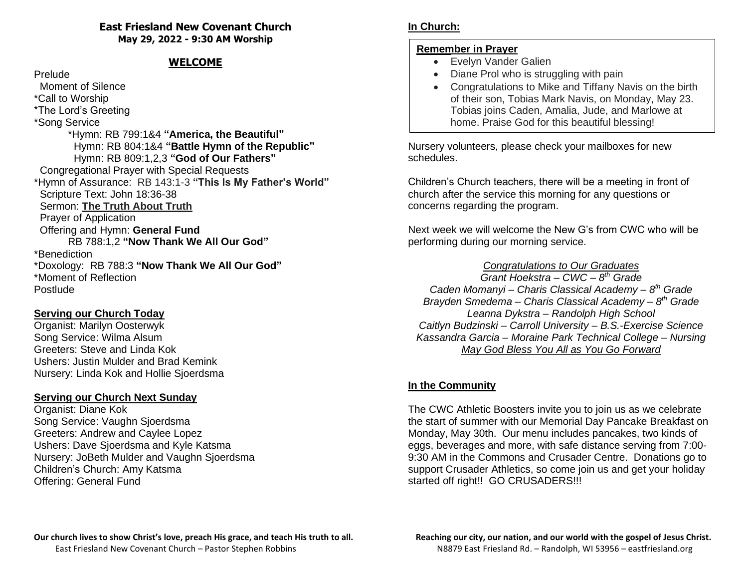#### **East Friesland New Covenant Church May 29, 2022 - 9:30 AM Worship**

# **WELCOME**

#### Prelude

 Moment of Silence \*Call to Worship \*The Lord's Greeting \*Song Service \*Hymn: RB 799:1&4 **"America, the Beautiful"** Hymn: RB 804:1&4 **"Battle Hymn of the Republic"** Hymn: RB 809:1,2,3 **"God of Our Fathers"** Congregational Prayer with Special Requests \*Hymn of Assurance: RB 143:1-3 **"This Is My Father's World"** Scripture Text: John 18:36-38 Sermon: **The Truth About Truth** Prayer of Application Offering and Hymn: **General Fund** RB 788:1,2 **"Now Thank We All Our God"** \*Benediction \*Doxology: RB 788:3 **"Now Thank We All Our God"** \*Moment of Reflection Postlude

### **Serving our Church Today**

Organist: Marilyn Oosterwyk Song Service: Wilma Alsum Greeters: Steve and Linda Kok Ushers: Justin Mulder and Brad Kemink Nursery: Linda Kok and Hollie Sjoerdsma

## **Serving our Church Next Sunday**

Organist: Diane Kok Song Service: Vaughn Sjoerdsma Greeters: Andrew and Caylee Lopez Ushers: Dave Sjoerdsma and Kyle Katsma Nursery: JoBeth Mulder and Vaughn Sjoerdsma Children's Church: Amy Katsma Offering: General Fund

### **Remember in Prayer**

- Evelyn Vander Galien
- Diane Prol who is struggling with pain
- Congratulations to Mike and Tiffany Navis on the birth of their son, Tobias Mark Navis, on Monday, May 23. Tobias joins Caden, Amalia, Jude, and Marlowe at home. Praise God for this beautiful blessing!

Nursery volunteers, please check your mailboxes for new schedules.

Children's Church teachers, there will be a meeting in front of church after the service this morning for any questions or concerns regarding the program.

Next week we will welcome the New G's from CWC who will be performing during our morning service.

### *Congratulations to Our Graduates*

*Grant Hoekstra – CWC – 8 th Grade Caden Momanyi – Charis Classical Academy – 8 th Grade Brayden Smedema – Charis Classical Academy – 8 th Grade Leanna Dykstra – Randolph High School Caitlyn Budzinski – Carroll University – B.S.-Exercise Science Kassandra Garcia – Moraine Park Technical College – Nursing May God Bless You All as You Go Forward*

## **In the Community**

The CWC Athletic Boosters invite you to join us as we celebrate the start of summer with our Memorial Day Pancake Breakfast on Monday, May 30th. Our menu includes pancakes, two kinds of eggs, beverages and more, with safe distance serving from 7:00- 9:30 AM in the Commons and Crusader Centre. Donations go to support Crusader Athletics, so come join us and get your holiday started off right!! GO CRUSADERS!!!